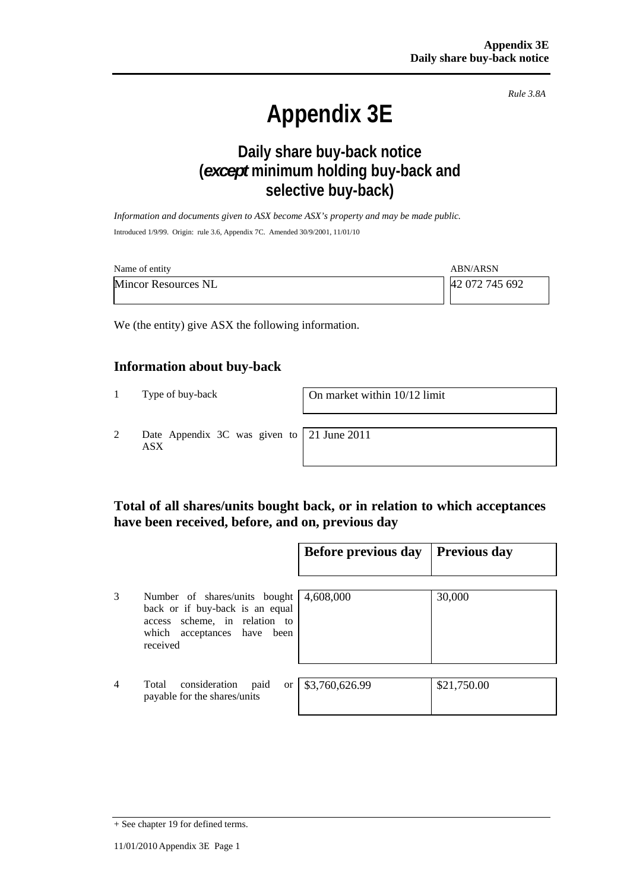*Rule 3.8A*

# **Appendix 3E**

# **Daily share buy-back notice (***except* **minimum holding buy-back and selective buy-back)**

*Information and documents given to ASX become ASX's property and may be made public.*  Introduced 1/9/99. Origin: rule 3.6, Appendix 7C. Amended 30/9/2001, 11/01/10

| Name of entity             | <b>ABN/ARSN</b> |
|----------------------------|-----------------|
| <b>Mincor Resources NL</b> | 42 072 745 692  |

We (the entity) give ASX the following information.

#### **Information about buy-back**

1 Type of buy-back On market within 10/12 limit

2 Date Appendix 3C was given to ASX

21 June 2011

## **Total of all shares/units bought back, or in relation to which acceptances have been received, before, and on, previous day**

|                |                                                                                                                                              | Before previous day | <b>Previous day</b> |
|----------------|----------------------------------------------------------------------------------------------------------------------------------------------|---------------------|---------------------|
| 3              | Number of shares/units bought<br>back or if buy-back is an equal<br>access scheme, in relation to<br>which acceptances have been<br>received | 4,608,000           | 30,000              |
| $\overline{4}$ | consideration<br>Total<br>paid<br>or<br>payable for the shares/units                                                                         | \$3,760,626.99      | \$21,750.00         |

<sup>+</sup> See chapter 19 for defined terms.